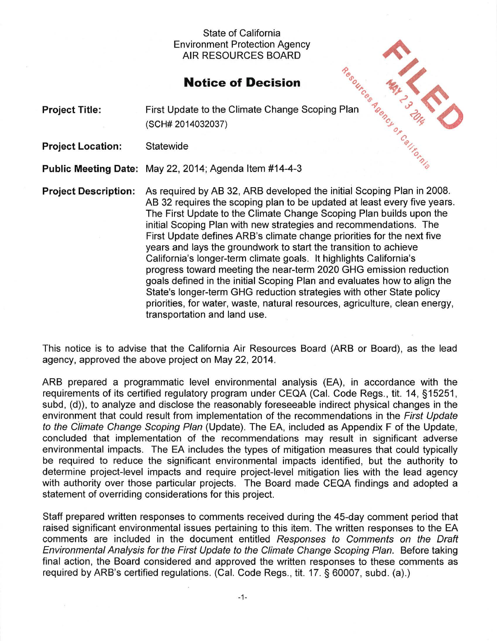## State of California Environment Protection Agency AIR RESOURCES BOARD

## **Notice of Decision**

|                             | Environment Protection Agency<br><b>AIR RESOURCES BOARD</b>                                                                                                                                                                                                                                                                                                                                                                                                                                                                                                                                                                                                                                                                                                                                                                                               |
|-----------------------------|-----------------------------------------------------------------------------------------------------------------------------------------------------------------------------------------------------------------------------------------------------------------------------------------------------------------------------------------------------------------------------------------------------------------------------------------------------------------------------------------------------------------------------------------------------------------------------------------------------------------------------------------------------------------------------------------------------------------------------------------------------------------------------------------------------------------------------------------------------------|
|                             | <b>Notice of Decision</b>                                                                                                                                                                                                                                                                                                                                                                                                                                                                                                                                                                                                                                                                                                                                                                                                                                 |
| <b>Project Title:</b>       | First Update to the Climate Change Scoping Plan<br>(SCH# 2014032037)                                                                                                                                                                                                                                                                                                                                                                                                                                                                                                                                                                                                                                                                                                                                                                                      |
| <b>Project Location:</b>    | Statewide                                                                                                                                                                                                                                                                                                                                                                                                                                                                                                                                                                                                                                                                                                                                                                                                                                                 |
|                             | Public Meeting Date: May 22, 2014; Agenda Item #14-4-3                                                                                                                                                                                                                                                                                                                                                                                                                                                                                                                                                                                                                                                                                                                                                                                                    |
| <b>Project Description:</b> | As required by AB 32, ARB developed the initial Scoping Plan in 2008.<br>AB 32 requires the scoping plan to be updated at least every five years.<br>The First Update to the Climate Change Scoping Plan builds upon the<br>initial Scoping Plan with new strategies and recommendations. The<br>First Update defines ARB's climate change priorities for the next five<br>years and lays the groundwork to start the transition to achieve<br>California's longer-term climate goals. It highlights California's<br>progress toward meeting the near-term 2020 GHG emission reduction<br>goals defined in the initial Scoping Plan and evaluates how to align the<br>State's longer-term GHG reduction strategies with other State policy<br>priorities, for water, waste, natural resources, agriculture, clean energy,<br>transportation and land use. |

This notice is to advise that the California Air Resources Board (ARB or Board), as the lead agency, approved the above project on May 22, 2014.

ARB prepared a programmatic level environmental analysis (EA), in accordance with the requirements of its certified regulatory program under CEQA (Cal. Code Regs., tit. 14, §15251, subd, (d)), to analyze and disclose the reasonably foreseeable indirect physical changes in the environment that could result from implementation of the recommendations in the First Update to the Ciimate Change Scoping Plan (Update). The EA, included as Appendix F of the Update, concluded that implementation of the recommendations may result in significant adverse environmental impacts. The EA includes the types of mitigation measures that could typically be required to reduce the significant environmental impacts identified, but the authority to determine project-level impacts and require project-level mitigation lies with the lead agency with authority over those particular projects. The Board made CEQA findings and adopted a statement of overriding considerations for this project.

Staff prepared written responses to comments received during the 45-day comment period that raised significant environmental issues pertaining to this item. The written responses to the EA comments are included in the document entitled Responses to Comments on the Draft Environmental Analysis for the First Update to the Climate Change Scoping Plan. Before taking final action, the Board considered and approved the written responses to these comments as required by ARB's certified regulations. (Cal. Code Regs., tit. 17. § 60007, subd. (a).)